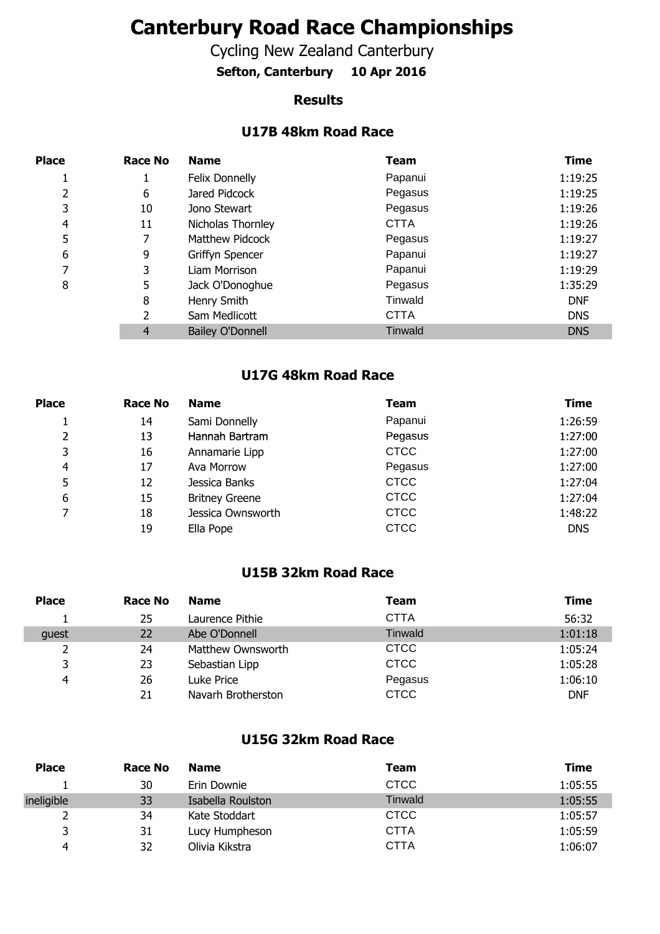# **Canterbury Road Race Championships**

Cycling New Zealand Canterbury

**Sefton, Canterbury 10 Apr 2016**

#### **Results**

## **U17B 48km Road Race**

| <b>Place</b> | <b>Race No</b> | <b>Name</b>             | <b>Team</b>    | <b>Time</b> |
|--------------|----------------|-------------------------|----------------|-------------|
|              | 1              | Felix Donnelly          | Papanui        | 1:19:25     |
| 2            | 6              | Jared Pidcock           | Pegasus        | 1:19:25     |
| 3            | 10             | Jono Stewart            | Pegasus        | 1:19:26     |
| 4            | 11             | Nicholas Thornley       | <b>CTTA</b>    | 1:19:26     |
| 5            | 7              | Matthew Pidcock         | Pegasus        | 1:19:27     |
| 6            | 9              | Griffyn Spencer         | Papanui        | 1:19:27     |
| 7            | 3              | Liam Morrison           | Papanui        | 1:19:29     |
| 8            | 5              | Jack O'Donoghue         | Pegasus        | 1:35:29     |
|              | 8              | Henry Smith             | Tinwald        | <b>DNF</b>  |
|              | 2              | Sam Medlicott           | <b>CTTA</b>    | <b>DNS</b>  |
|              | 4              | <b>Bailey O'Donnell</b> | <b>Tinwald</b> | <b>DNS</b>  |

#### **U17G 48km Road Race**

| <b>Place</b> | <b>Race No</b> | <b>Name</b>           | Team        | Time       |
|--------------|----------------|-----------------------|-------------|------------|
|              | 14             | Sami Donnelly         | Papanui     | 1:26:59    |
| 2            | 13             | Hannah Bartram        | Pegasus     | 1:27:00    |
| 3            | 16             | Annamarie Lipp        | <b>CTCC</b> | 1:27:00    |
| 4            | 17             | Ava Morrow            | Pegasus     | 1:27:00    |
| 5            | 12             | Jessica Banks         | <b>CTCC</b> | 1:27:04    |
| 6            | 15             | <b>Britney Greene</b> | <b>CTCC</b> | 1:27:04    |
| 7            | 18             | Jessica Ownsworth     | <b>CTCC</b> | 1:48:22    |
|              | 19             | Ella Pope             | <b>CTCC</b> | <b>DNS</b> |

## **U15B 32km Road Race**

| <b>Place</b> | Race No | <b>Name</b>        | Team           | Time       |
|--------------|---------|--------------------|----------------|------------|
|              | 25      | Laurence Pithie    | <b>CTTA</b>    | 56:32      |
| quest        | 22      | Abe O'Donnell      | <b>Tinwald</b> | 1:01:18    |
|              | 24      | Matthew Ownsworth  | <b>CTCC</b>    | 1:05:24    |
| 3            | 23      | Sebastian Lipp     | <b>CTCC</b>    | 1:05:28    |
| 4            | 26      | Luke Price         | Pegasus        | 1:06:10    |
|              | 21      | Navarh Brotherston | <b>CTCC</b>    | <b>DNF</b> |

## **U15G 32km Road Race**

| <b>Place</b> | <b>Race No</b> | <b>Name</b>       | Team           | Time    |
|--------------|----------------|-------------------|----------------|---------|
|              | 30             | Erin Downie       | <b>CTCC</b>    | 1:05:55 |
| ineligible   | 33             | Isabella Roulston | <b>Tinwald</b> | 1:05:55 |
|              | 34             | Kate Stoddart     | <b>CTCC</b>    | 1:05:57 |
| 3            | 31             | Lucy Humpheson    | <b>CTTA</b>    | 1:05:59 |
| 4            | 32             | Olivia Kikstra    | <b>CTTA</b>    | 1:06:07 |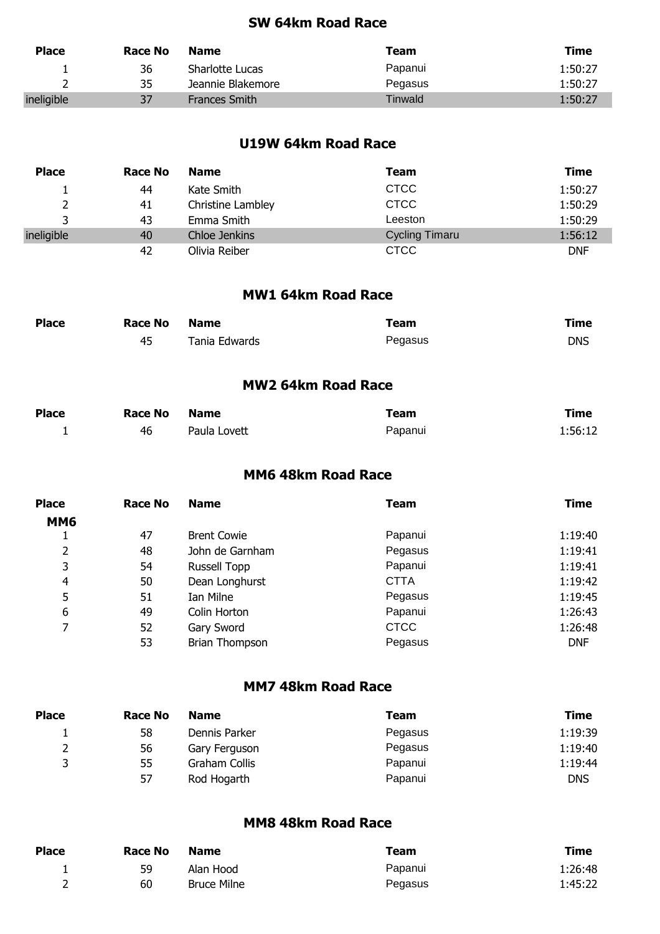## **SW 64km Road Race**

| <b>Place</b> | Race No | <b>Name</b>          | Team    | Time    |
|--------------|---------|----------------------|---------|---------|
|              | 36      | Sharlotte Lucas      | Papanui | 1:50:27 |
|              | 35      | Jeannie Blakemore    | Pegasus | 1:50:27 |
| ineligible   | 37      | <b>Frances Smith</b> | Tinwald | 1:50:27 |

## **U19W 64km Road Race**

| <b>Place</b> | Race No | <b>Name</b>       | Team                  | Time       |
|--------------|---------|-------------------|-----------------------|------------|
|              | 44      | Kate Smith        | <b>CTCC</b>           | 1:50:27    |
|              | 41      | Christine Lambley | <b>CTCC</b>           | 1:50:29    |
|              | 43      | Emma Smith        | Leeston               | 1:50:29    |
| ineligible   | 40      | Chloe Jenkins     | <b>Cycling Timaru</b> | 1:56:12    |
|              | 42      | Olivia Reiber     | <b>CTCC</b>           | <b>DNF</b> |

#### **MW1 64km Road Race**

| <b>Place</b> | Race No | <b>Name</b>   | Team    | Time       |
|--------------|---------|---------------|---------|------------|
|              | 45      | Tania Edwards | Pegasus | <b>DNS</b> |

## **MW2 64km Road Race**

| <b>Place</b> | <b>Race No</b> | Name         | Team    | Time    |
|--------------|----------------|--------------|---------|---------|
| <u>.</u>     | 46             | Paula Lovett | Papanui | 1:56:12 |

#### **MM6 48km Road Race**

| <b>Place</b> | Race No | <b>Name</b>           | Team        | Time       |
|--------------|---------|-----------------------|-------------|------------|
| <b>MM6</b>   |         |                       |             |            |
|              | 47      | <b>Brent Cowie</b>    | Papanui     | 1:19:40    |
| 2            | 48      | John de Garnham       | Pegasus     | 1:19:41    |
| 3            | 54      | Russell Topp          | Papanui     | 1:19:41    |
| 4            | 50      | Dean Longhurst        | <b>CTTA</b> | 1:19:42    |
| 5            | 51      | Ian Milne             | Pegasus     | 1:19:45    |
| 6            | 49      | Colin Horton          | Papanui     | 1:26:43    |
| 7            | 52      | Gary Sword            | <b>CTCC</b> | 1:26:48    |
|              | 53      | <b>Brian Thompson</b> | Pegasus     | <b>DNF</b> |

#### **MM7 48km Road Race**

| <b>Place</b> | Race No | <b>Name</b>   | Team    | <b>Time</b> |
|--------------|---------|---------------|---------|-------------|
|              | 58      | Dennis Parker | Pegasus | 1:19:39     |
| ∼            | 56      | Gary Ferguson | Pegasus | 1:19:40     |
| ર            | 55      | Graham Collis | Papanui | 1:19:44     |
|              | 57      | Rod Hogarth   | Papanui | <b>DNS</b>  |

# **MM8 48km Road Race**

| <b>Place</b> | Race No | <b>Name</b>        | Team    | <b>Time</b> |
|--------------|---------|--------------------|---------|-------------|
|              | 59      | Alan Hood          | Papanui | 1:26:48     |
|              | 60      | <b>Bruce Milne</b> | Pegasus | 1:45:22     |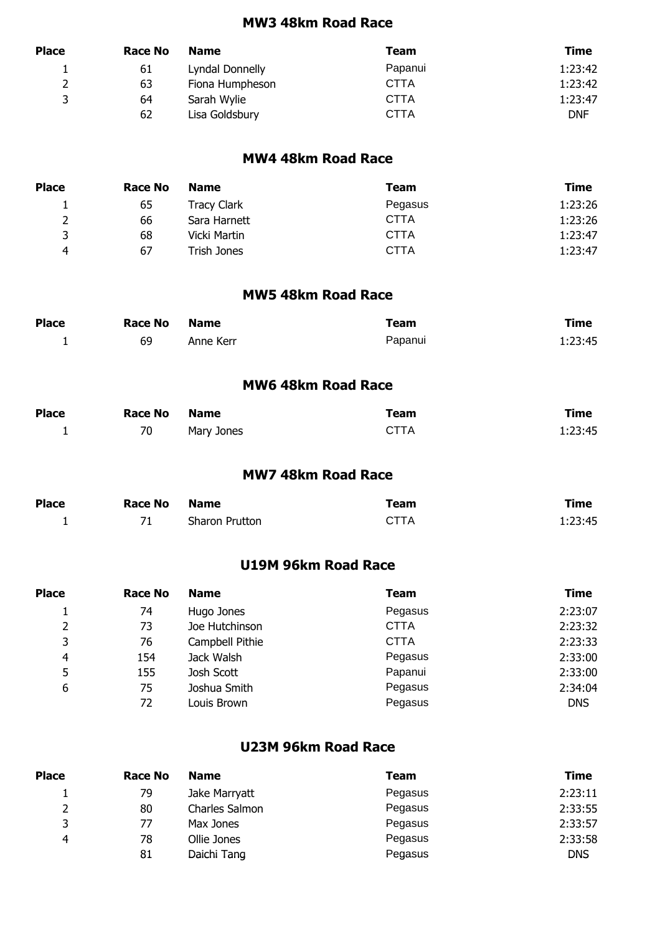#### **MW3 48km Road Race**

| <b>Place</b> | <b>Race No</b> | <b>Name</b>     | Team        | Time       |
|--------------|----------------|-----------------|-------------|------------|
|              | 61             | Lyndal Donnelly | Papanui     | 1:23:42    |
|              | 63             | Fiona Humpheson | CTTA        | 1:23:42    |
| ₹            | 64             | Sarah Wylie     | <b>CTTA</b> | 1:23:47    |
|              | 62             | Lisa Goldsbury  | <b>CTTA</b> | <b>DNF</b> |

## **MW4 48km Road Race**

| <b>Place</b> | Race No | <b>Name</b>  | Team        | Time    |
|--------------|---------|--------------|-------------|---------|
| ᅩ            | 65      | Tracy Clark  | Pegasus     | 1:23:26 |
| ∸            | 66      | Sara Harnett | <b>CTTA</b> | 1:23:26 |
| 3            | 68      | Vicki Martin | <b>CTTA</b> | 1:23:47 |
| 4            | 67      | Trish Jones  | <b>CTTA</b> | 1:23:47 |

#### **MW5 48km Road Race**

| <b>Place</b> | <b>Race No</b> | <b>Name</b> | Team    | Time    |
|--------------|----------------|-------------|---------|---------|
|              | 69             | Anne Kerr   | Papanui | 1:23:45 |

## **MW6 48km Road Race**

| <b>Place</b> | <b>Race No</b> | <b>Name</b> | Team        | Time    |
|--------------|----------------|-------------|-------------|---------|
| <u>.</u>     | 70             | Mary Jones  | <b>CTTA</b> | 1:23:45 |

#### **MW7 48km Road Race**

| <b>Place</b> | <b>Race No</b> | <b>Name</b>    | Team        | Time    |
|--------------|----------------|----------------|-------------|---------|
|              |                | Sharon Prutton | <b>CTTA</b> | 1:23:45 |

## **U19M 96km Road Race**

| <b>Place</b>   | <b>Race No</b> | <b>Name</b>     | Team        | <b>Time</b> |
|----------------|----------------|-----------------|-------------|-------------|
|                | 74             | Hugo Jones      | Pegasus     | 2:23:07     |
| $\overline{2}$ | 73             | Joe Hutchinson  | <b>CTTA</b> | 2:23:32     |
| 3              | 76             | Campbell Pithie | <b>CTTA</b> | 2:23:33     |
| 4              | 154            | Jack Walsh      | Pegasus     | 2:33:00     |
| 5              | 155            | Josh Scott      | Papanui     | 2:33:00     |
| 6              | 75             | Joshua Smith    | Pegasus     | 2:34:04     |
|                | 72             | Louis Brown     | Pegasus     | <b>DNS</b>  |

#### **U23M 96km Road Race**

| <b>Place</b> | Race No | <b>Name</b>    | <b>Team</b> | Time    |
|--------------|---------|----------------|-------------|---------|
|              | 79      | Jake Marryatt  | Pegasus     | 2:23:11 |
| 2            | 80      | Charles Salmon | Pegasus     | 2:33:55 |
| ર            | 77      | Max Jones      | Pegasus     | 2:33:57 |
| 4            | 78      | Ollie Jones    | Pegasus     | 2:33:58 |
|              | 81      | Daichi Tang    | Pegasus     | DNS     |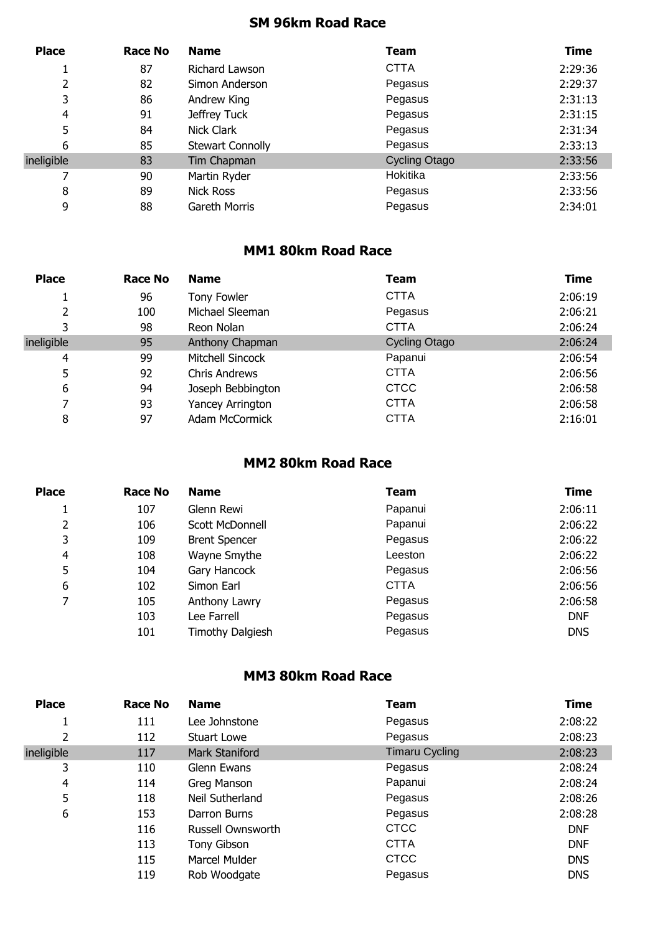# **SM 96km Road Race**

| <b>Place</b> | Race No | <b>Name</b>             | Team                 | <b>Time</b> |
|--------------|---------|-------------------------|----------------------|-------------|
|              | 87      | Richard Lawson          | <b>CTTA</b>          | 2:29:36     |
|              | 82      | Simon Anderson          | Pegasus              | 2:29:37     |
| 3            | 86      | Andrew King             | Pegasus              | 2:31:13     |
| 4            | 91      | Jeffrey Tuck            | Pegasus              | 2:31:15     |
| 5            | 84      | Nick Clark              | Pegasus              | 2:31:34     |
| 6            | 85      | <b>Stewart Connolly</b> | Pegasus              | 2:33:13     |
| ineligible   | 83      | Tim Chapman             | <b>Cycling Otago</b> | 2:33:56     |
|              | 90      | Martin Ryder            | Hokitika             | 2:33:56     |
| 8            | 89      | <b>Nick Ross</b>        | Pegasus              | 2:33:56     |
| 9            | 88      | Gareth Morris           | Pegasus              | 2:34:01     |

# **MM1 80km Road Race**

| <b>Place</b> | <b>Race No</b> | <b>Name</b>           | <b>Team</b>          | <b>Time</b> |
|--------------|----------------|-----------------------|----------------------|-------------|
|              | 96             | Tony Fowler           | <b>CTTA</b>          | 2:06:19     |
| 2            | 100            | Michael Sleeman       | Pegasus              | 2:06:21     |
| 3            | 98             | Reon Nolan            | <b>CTTA</b>          | 2:06:24     |
| ineligible   | 95             | Anthony Chapman       | <b>Cycling Otago</b> | 2:06:24     |
| 4            | 99             | Mitchell Sincock      | Papanui              | 2:06:54     |
| 5            | 92             | <b>Chris Andrews</b>  | <b>CTTA</b>          | 2:06:56     |
| 6            | 94             | Joseph Bebbington     | <b>CTCC</b>          | 2:06:58     |
|              | 93             | Yancey Arrington      | <b>CTTA</b>          | 2:06:58     |
| 8            | 97             | <b>Adam McCormick</b> | <b>CTTA</b>          | 2:16:01     |

## **MM2 80km Road Race**

| <b>Place</b>   | <b>Race No</b> | <b>Name</b>          | <b>Team</b> | Time       |
|----------------|----------------|----------------------|-------------|------------|
|                | 107            | Glenn Rewi           | Papanui     | 2:06:11    |
| 2              | 106            | Scott McDonnell      | Papanui     | 2:06:22    |
| 3              | 109            | <b>Brent Spencer</b> | Pegasus     | 2:06:22    |
| $\overline{4}$ | 108            | Wayne Smythe         | Leeston     | 2:06:22    |
| 5              | 104            | Gary Hancock         | Pegasus     | 2:06:56    |
| 6              | 102            | Simon Earl           | <b>CTTA</b> | 2:06:56    |
| 7              | 105            | Anthony Lawry        | Pegasus     | 2:06:58    |
|                | 103            | Lee Farrell          | Pegasus     | <b>DNF</b> |
|                | 101            | Timothy Dalgiesh     | Pegasus     | <b>DNS</b> |

## **MM3 80km Road Race**

| <b>Place</b> | Race No | <b>Name</b>        | <b>Team</b>           | <b>Time</b> |
|--------------|---------|--------------------|-----------------------|-------------|
|              | 111     | Lee Johnstone      | Pegasus               | 2:08:22     |
| 2            | 112     | <b>Stuart Lowe</b> | Pegasus               | 2:08:23     |
| ineligible   | 117     | Mark Staniford     | <b>Timaru Cycling</b> | 2:08:23     |
| 3            | 110     | Glenn Ewans        | Pegasus               | 2:08:24     |
| 4            | 114     | Greg Manson        | Papanui               | 2:08:24     |
| 5            | 118     | Neil Sutherland    | Pegasus               | 2:08:26     |
| 6            | 153     | Darron Burns       | Pegasus               | 2:08:28     |
|              | 116     | Russell Ownsworth  | <b>CTCC</b>           | <b>DNF</b>  |
|              | 113     | Tony Gibson        | <b>CTTA</b>           | <b>DNF</b>  |
|              | 115     | Marcel Mulder      | <b>CTCC</b>           | <b>DNS</b>  |
|              | 119     | Rob Woodgate       | Pegasus               | <b>DNS</b>  |